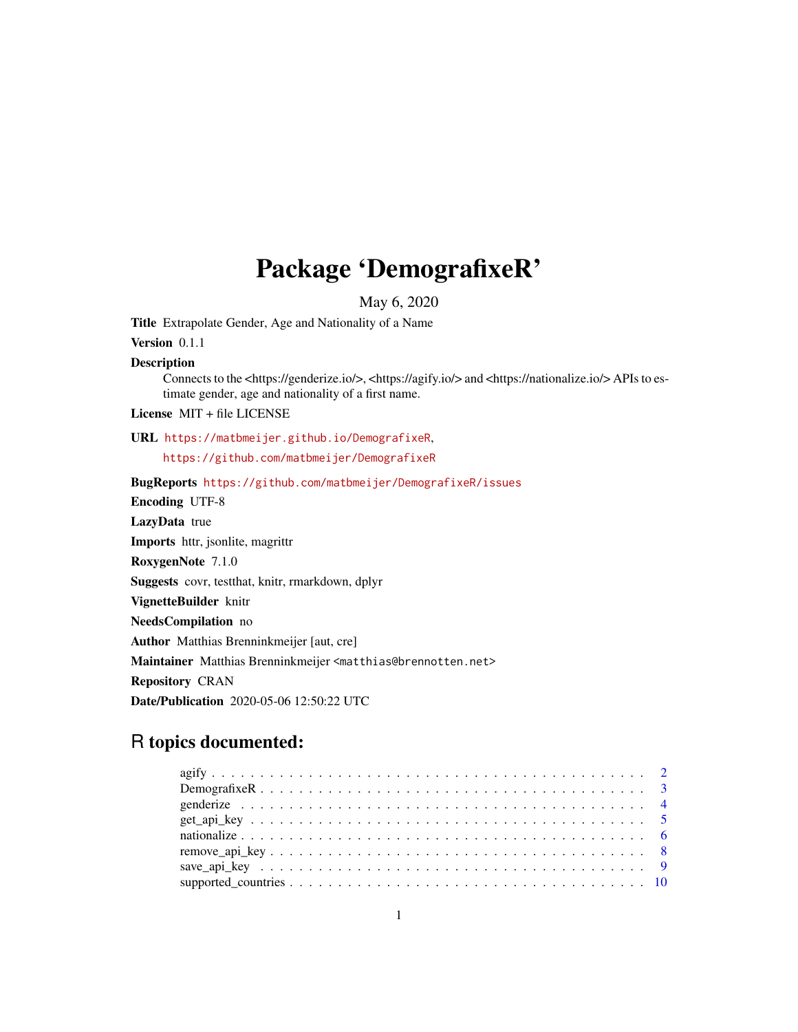## Package 'DemografixeR'

May 6, 2020

Title Extrapolate Gender, Age and Nationality of a Name

Version 0.1.1

Description

Connects to the <https://genderize.io/>, <https://agify.io/> and <https://nationalize.io/> APIs to estimate gender, age and nationality of a first name.

License MIT + file LICENSE

URL <https://matbmeijer.github.io/DemografixeR>, <https://github.com/matbmeijer/DemografixeR>

BugReports <https://github.com/matbmeijer/DemografixeR/issues> Encoding UTF-8 LazyData true Imports httr, jsonlite, magrittr RoxygenNote 7.1.0 Suggests covr, testthat, knitr, rmarkdown, dplyr VignetteBuilder knitr NeedsCompilation no Author Matthias Brenninkmeijer [aut, cre] Maintainer Matthias Brenninkmeijer <matthias@brennotten.net> Repository CRAN Date/Publication 2020-05-06 12:50:22 UTC

### R topics documented: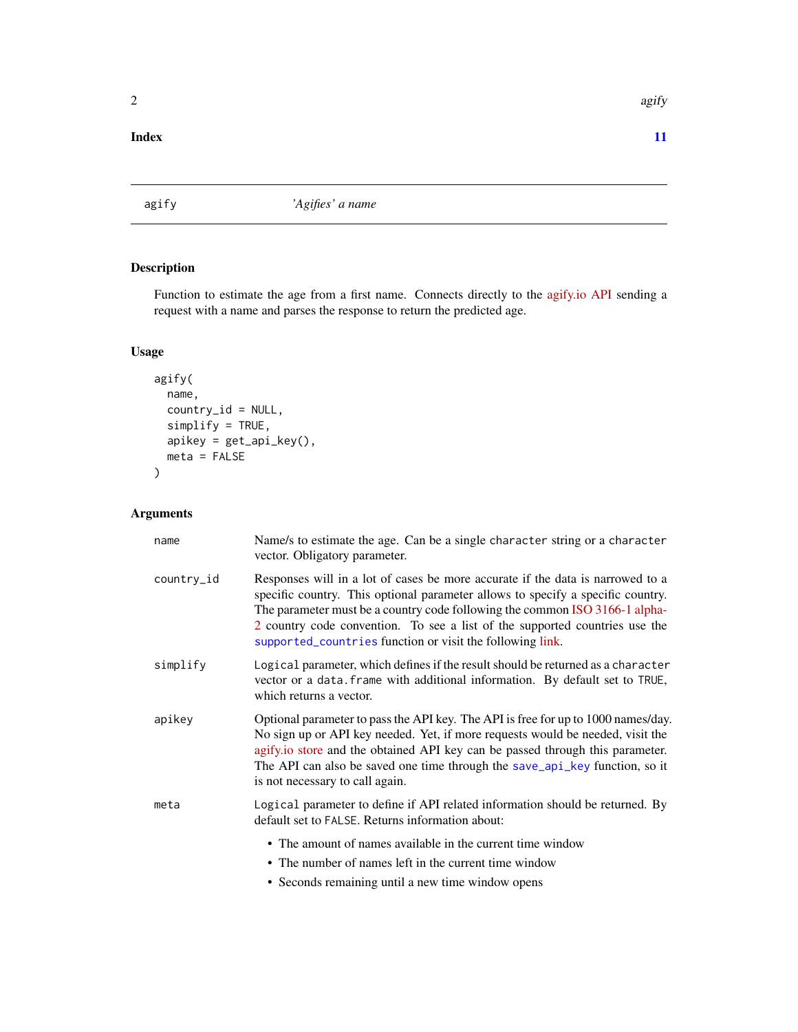#### <span id="page-1-0"></span>**Index** [11](#page-10-0)

<span id="page-1-1"></span>agify *'Agifies' a name*

#### Description

Function to estimate the age from a first name. Connects directly to the [agify.io API](https://agify.io/) sending a request with a name and parses the response to return the predicted age.

#### Usage

```
agify(
 name,
  country_id = NULL,
  simplify = TRUE,
  apikey = get_api_key(),
 meta = FALSE
)
```
#### Arguments

| name       | Name/s to estimate the age. Can be a single character string or a character<br>vector. Obligatory parameter.                                                                                                                                                                                                                                                                                 |
|------------|----------------------------------------------------------------------------------------------------------------------------------------------------------------------------------------------------------------------------------------------------------------------------------------------------------------------------------------------------------------------------------------------|
| country_id | Responses will in a lot of cases be more accurate if the data is narrowed to a<br>specific country. This optional parameter allows to specify a specific country.<br>The parameter must be a country code following the common ISO 3166-1 alpha-<br>2 country code convention. To see a list of the supported countries use the<br>supported_countries function or visit the following link. |
| simplify   | Logical parameter, which defines if the result should be returned as a character<br>vector or a data. frame with additional information. By default set to TRUE,<br>which returns a vector.                                                                                                                                                                                                  |
| apikey     | Optional parameter to pass the API key. The API is free for up to 1000 names/day.<br>No sign up or API key needed. Yet, if more requests would be needed, visit the<br>agify.io store and the obtained API key can be passed through this parameter.<br>The API can also be saved one time through the save_api_key function, so it<br>is not necessary to call again.                       |
| meta       | Logical parameter to define if API related information should be returned. By<br>default set to FALSE. Returns information about:                                                                                                                                                                                                                                                            |
|            | • The amount of names available in the current time window<br>• The number of names left in the current time window                                                                                                                                                                                                                                                                          |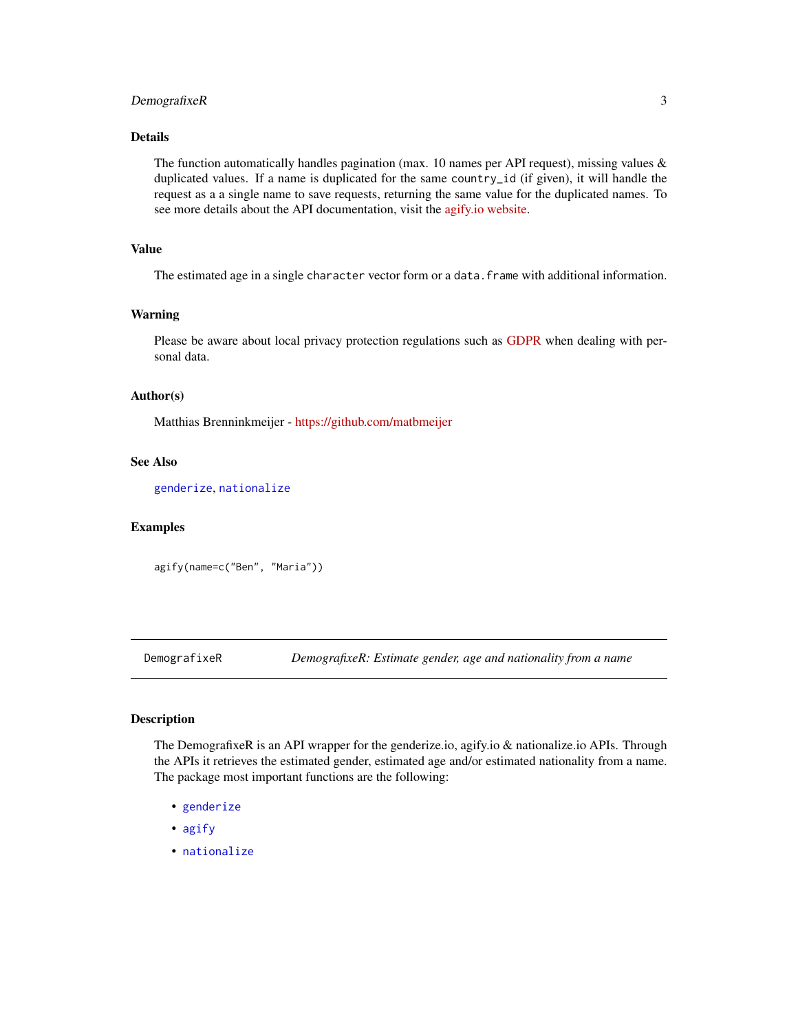#### <span id="page-2-0"></span>DemografixeR 3

#### Details

The function automatically handles pagination (max. 10 names per API request), missing values  $\&$ duplicated values. If a name is duplicated for the same country\_id (if given), it will handle the request as a a single name to save requests, returning the same value for the duplicated names. To see more details about the API documentation, visit the [agify.io website.](https://agify.io/)

#### Value

The estimated age in a single character vector form or a data. frame with additional information.

#### Warning

Please be aware about local privacy protection regulations such as [GDPR](https://tinyurl.com/odvcvq8) when dealing with personal data.

#### Author(s)

Matthias Brenninkmeijer - <https://github.com/matbmeijer>

#### See Also

[genderize](#page-3-1), [nationalize](#page-5-1)

#### Examples

agify(name=c("Ben", "Maria"))

DemografixeR *DemografixeR: Estimate gender, age and nationality from a name*

#### Description

The DemografixeR is an API wrapper for the genderize.io, agify.io & nationalize.io APIs. Through the APIs it retrieves the estimated gender, estimated age and/or estimated nationality from a name. The package most important functions are the following:

- [genderize](#page-3-1)
- [agify](#page-1-1)
- [nationalize](#page-5-1)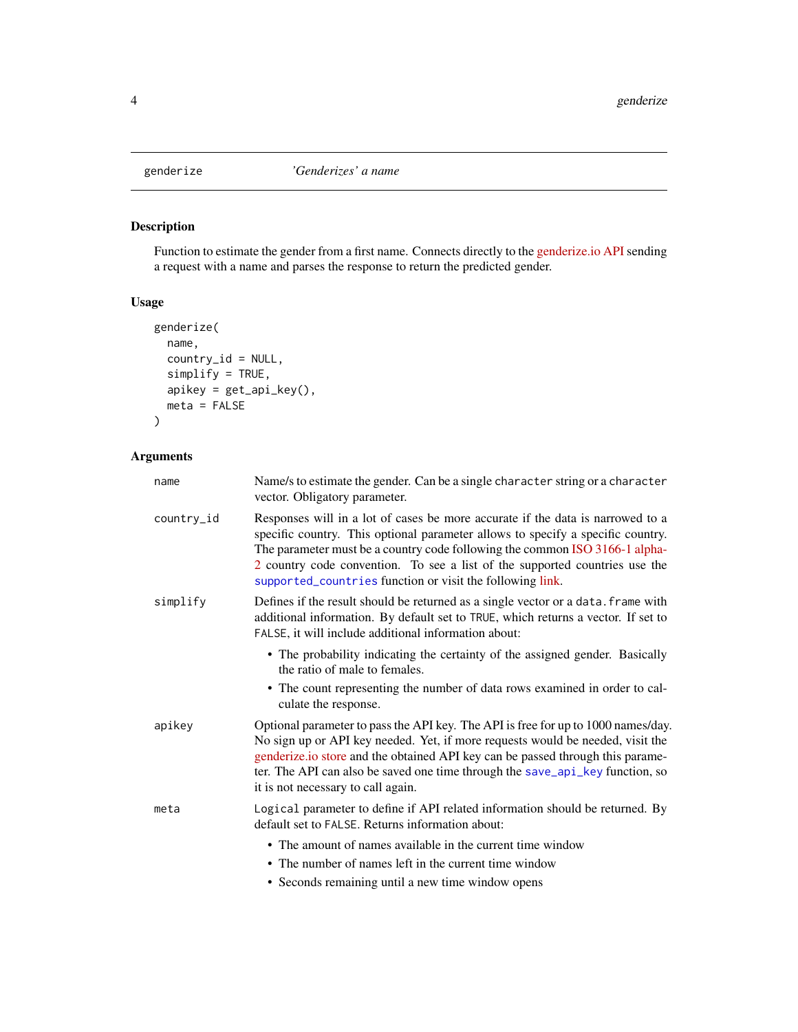<span id="page-3-1"></span><span id="page-3-0"></span>

#### Description

Function to estimate the gender from a first name. Connects directly to the [genderize.io API](https://genderize.io/) sending a request with a name and parses the response to return the predicted gender.

#### Usage

```
genderize(
 name,
 country_id = NULL,
 simplify = TRUE,
 apikey = get_api_key(),
 meta = FALSE
)
```
#### Arguments

| name       | Name/s to estimate the gender. Can be a single character string or a character<br>vector. Obligatory parameter.                                                                                                                                                                                                                                                                              |
|------------|----------------------------------------------------------------------------------------------------------------------------------------------------------------------------------------------------------------------------------------------------------------------------------------------------------------------------------------------------------------------------------------------|
| country_id | Responses will in a lot of cases be more accurate if the data is narrowed to a<br>specific country. This optional parameter allows to specify a specific country.<br>The parameter must be a country code following the common ISO 3166-1 alpha-<br>2 country code convention. To see a list of the supported countries use the<br>supported_countries function or visit the following link. |
| simplify   | Defines if the result should be returned as a single vector or a data. Frame with<br>additional information. By default set to TRUE, which returns a vector. If set to<br>FALSE, it will include additional information about:                                                                                                                                                               |
|            | • The probability indicating the certainty of the assigned gender. Basically<br>the ratio of male to females.                                                                                                                                                                                                                                                                                |
|            | • The count representing the number of data rows examined in order to cal-<br>culate the response.                                                                                                                                                                                                                                                                                           |
| apikey     | Optional parameter to pass the API key. The API is free for up to 1000 names/day.<br>No sign up or API key needed. Yet, if more requests would be needed, visit the<br>genderize.io store and the obtained API key can be passed through this parame-<br>ter. The API can also be saved one time through the save_api_key function, so<br>it is not necessary to call again.                 |
| meta       | Logical parameter to define if API related information should be returned. By<br>default set to FALSE. Returns information about:                                                                                                                                                                                                                                                            |
|            | • The amount of names available in the current time window                                                                                                                                                                                                                                                                                                                                   |
|            | • The number of names left in the current time window                                                                                                                                                                                                                                                                                                                                        |
|            | • Seconds remaining until a new time window opens                                                                                                                                                                                                                                                                                                                                            |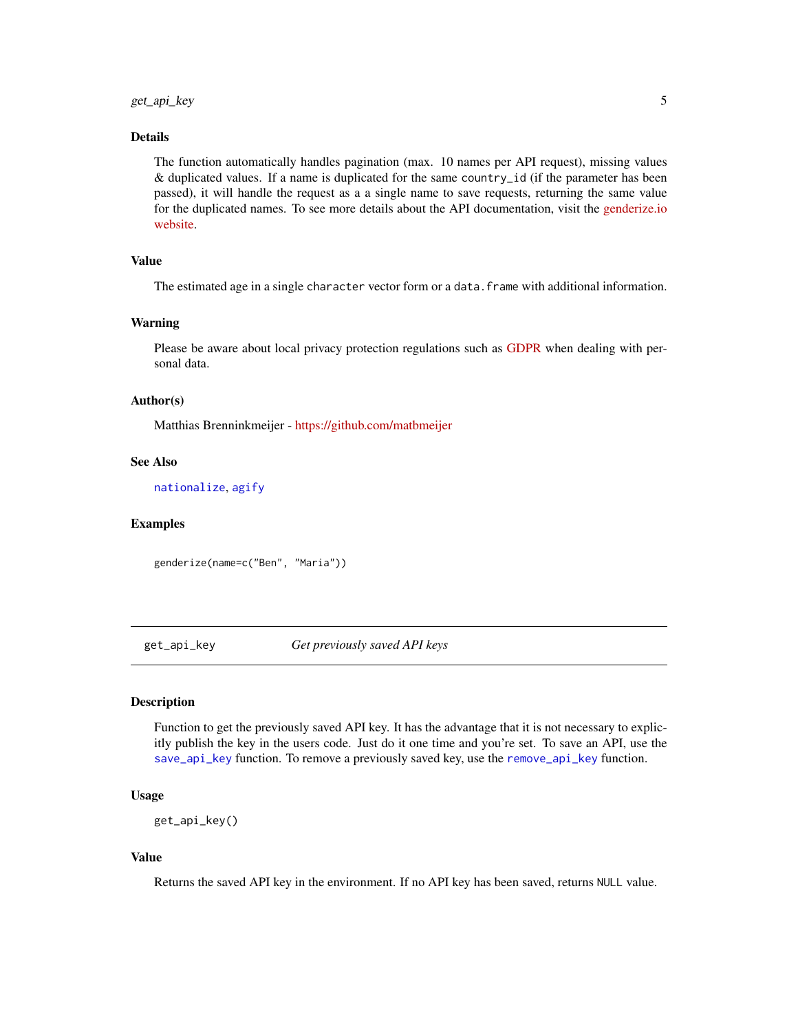#### <span id="page-4-0"></span>Details

The function automatically handles pagination (max. 10 names per API request), missing values & duplicated values. If a name is duplicated for the same country\_id (if the parameter has been passed), it will handle the request as a a single name to save requests, returning the same value for the duplicated names. To see more details about the API documentation, visit the [genderize.io](https://genderize.io/) [website.](https://genderize.io/)

#### Value

The estimated age in a single character vector form or a data. frame with additional information.

#### Warning

Please be aware about local privacy protection regulations such as [GDPR](https://tinyurl.com/odvcvq8) when dealing with personal data.

#### Author(s)

Matthias Brenninkmeijer - <https://github.com/matbmeijer>

#### See Also

[nationalize](#page-5-1), [agify](#page-1-1)

#### Examples

genderize(name=c("Ben", "Maria"))

<span id="page-4-1"></span>get\_api\_key *Get previously saved API keys*

#### Description

Function to get the previously saved API key. It has the advantage that it is not necessary to explicitly publish the key in the users code. Just do it one time and you're set. To save an API, use the [save\\_api\\_key](#page-8-1) function. To remove a previously saved key, use the [remove\\_api\\_key](#page-7-1) function.

#### Usage

get\_api\_key()

#### Value

Returns the saved API key in the environment. If no API key has been saved, returns NULL value.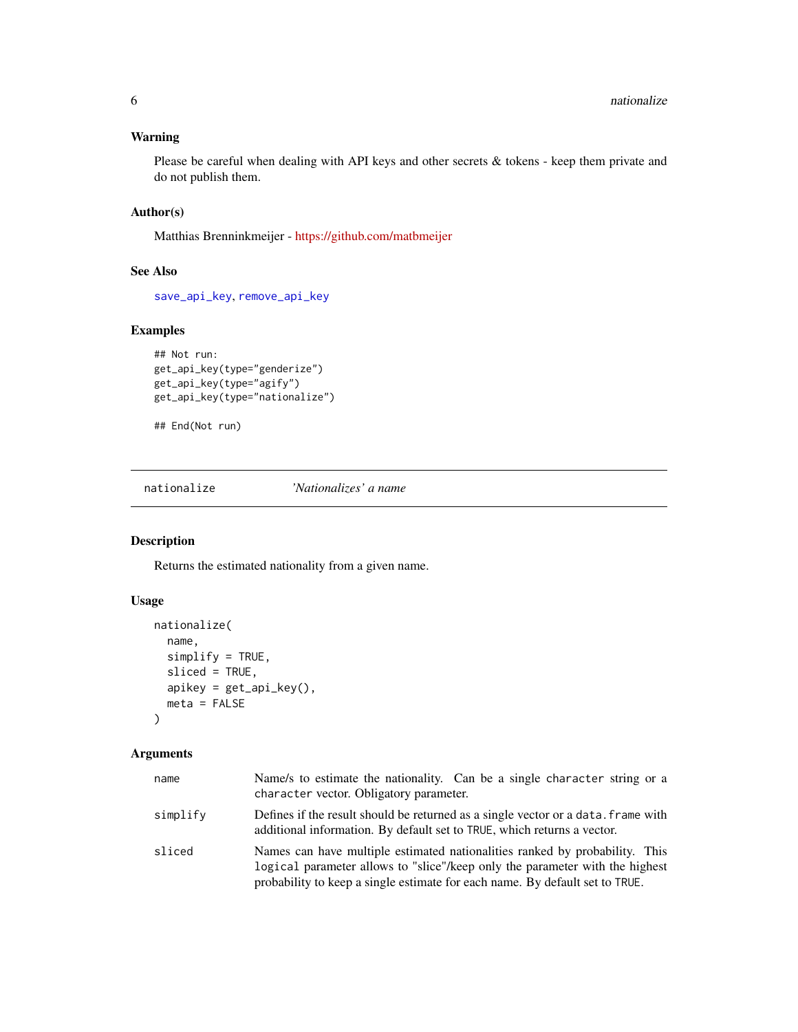#### <span id="page-5-0"></span>Warning

Please be careful when dealing with API keys and other secrets & tokens - keep them private and do not publish them.

#### Author(s)

Matthias Brenninkmeijer - <https://github.com/matbmeijer>

#### See Also

[save\\_api\\_key](#page-8-1), [remove\\_api\\_key](#page-7-1)

#### Examples

```
## Not run:
get_api_key(type="genderize")
get_api_key(type="agify")
get_api_key(type="nationalize")
```
## End(Not run)

<span id="page-5-1"></span>nationalize *'Nationalizes' a name*

#### Description

Returns the estimated nationality from a given name.

#### Usage

```
nationalize(
 name,
  simplify = TRUE,
  sliced = TRUE,
  apikey = get_api_key(),
 meta = FALSE
)
```
#### Arguments

| name     | Name/s to estimate the nationality. Can be a single character string or a<br>character vector. Obligatory parameter.                                                                                                                        |
|----------|---------------------------------------------------------------------------------------------------------------------------------------------------------------------------------------------------------------------------------------------|
| simplify | Defines if the result should be returned as a single vector or a data, frame with<br>additional information. By default set to TRUE, which returns a vector.                                                                                |
| sliced   | Names can have multiple estimated nationalities ranked by probability. This<br>logical parameter allows to "slice"/keep only the parameter with the highest<br>probability to keep a single estimate for each name. By default set to TRUE. |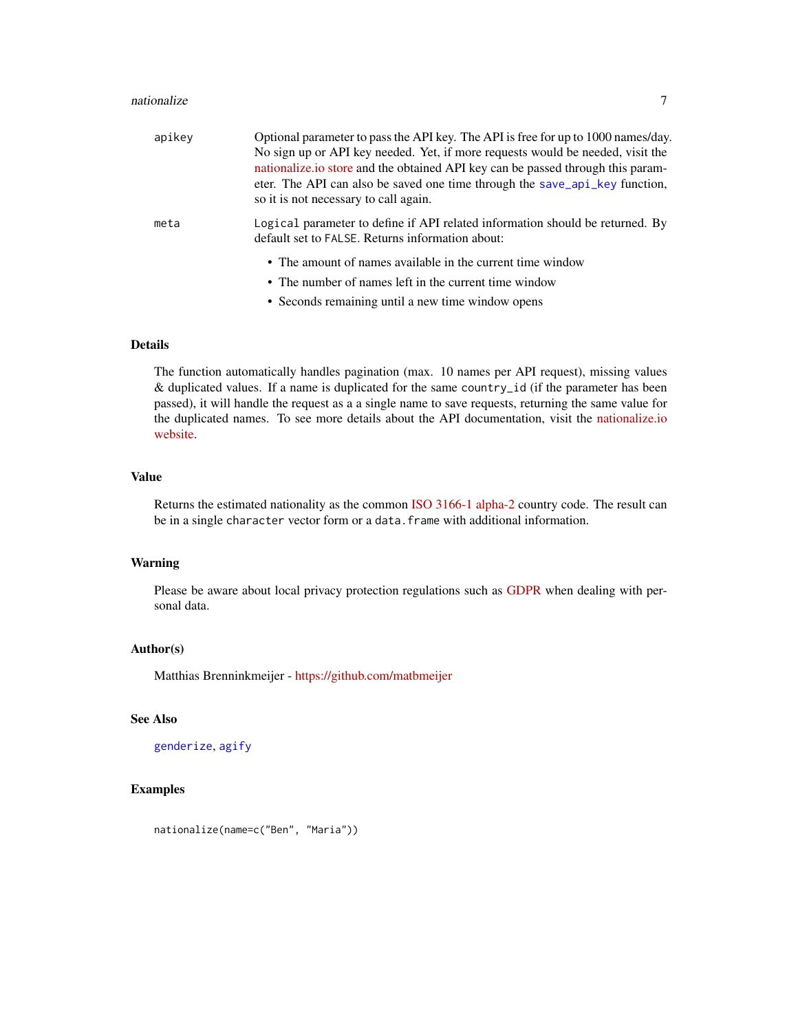#### <span id="page-6-0"></span>nationalize 7 and 2008 and 2008 and 2008 and 2008 and 2008 and 2008 and 2008 and 2008 and 2008 and 2008 and 20

| apikey | Optional parameter to pass the API key. The API is free for up to 1000 names/day.<br>No sign up or API key needed. Yet, if more requests would be needed, visit the<br>nationalize io store and the obtained API key can be passed through this param-<br>eter. The API can also be saved one time through the save_api_key function,<br>so it is not necessary to call again. |
|--------|--------------------------------------------------------------------------------------------------------------------------------------------------------------------------------------------------------------------------------------------------------------------------------------------------------------------------------------------------------------------------------|
| meta   | Logical parameter to define if API related information should be returned. By<br>default set to FALSE. Returns information about:                                                                                                                                                                                                                                              |
|        | • The amount of names available in the current time window                                                                                                                                                                                                                                                                                                                     |
|        | • The number of names left in the current time window                                                                                                                                                                                                                                                                                                                          |
|        | • Seconds remaining until a new time window opens                                                                                                                                                                                                                                                                                                                              |

#### Details

The function automatically handles pagination (max. 10 names per API request), missing values & duplicated values. If a name is duplicated for the same country\_id (if the parameter has been passed), it will handle the request as a a single name to save requests, returning the same value for the duplicated names. To see more details about the API documentation, visit the [nationalize.io](https://nationalize.io/) [website.](https://nationalize.io/)

#### Value

Returns the estimated nationality as the common [ISO 3166-1 alpha-2](http://en.wikipedia.org/wiki/ISO_3166-1_alpha-2) country code. The result can be in a single character vector form or a data. frame with additional information.

#### Warning

Please be aware about local privacy protection regulations such as [GDPR](https://tinyurl.com/odvcvq8) when dealing with personal data.

#### Author(s)

Matthias Brenninkmeijer - <https://github.com/matbmeijer>

#### See Also

[genderize](#page-3-1), [agify](#page-1-1)

#### Examples

nationalize(name=c("Ben", "Maria"))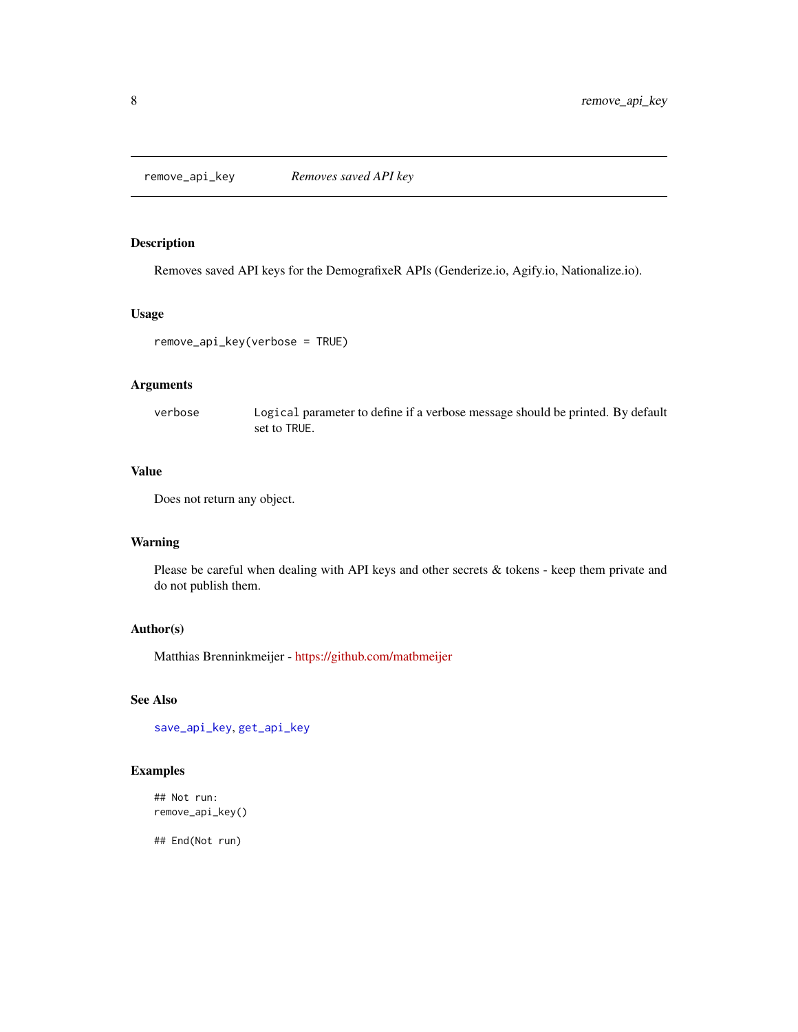<span id="page-7-1"></span><span id="page-7-0"></span>remove\_api\_key *Removes saved API key*

#### Description

Removes saved API keys for the DemografixeR APIs (Genderize.io, Agify.io, Nationalize.io).

#### Usage

```
remove_api_key(verbose = TRUE)
```
#### Arguments

verbose Logical parameter to define if a verbose message should be printed. By default set to TRUE.

#### Value

Does not return any object.

#### Warning

Please be careful when dealing with API keys and other secrets & tokens - keep them private and do not publish them.

#### Author(s)

Matthias Brenninkmeijer - <https://github.com/matbmeijer>

#### See Also

[save\\_api\\_key](#page-8-1), [get\\_api\\_key](#page-4-1)

#### Examples

```
## Not run:
remove_api_key()
```
## End(Not run)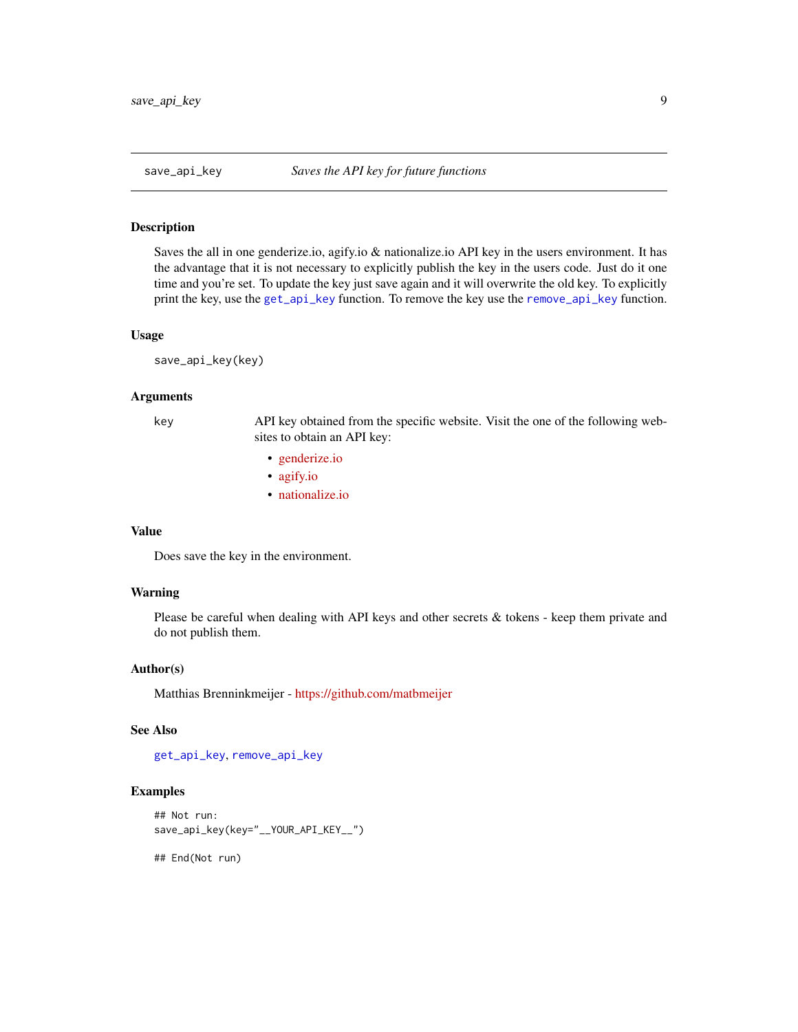<span id="page-8-1"></span><span id="page-8-0"></span>

#### Description

Saves the all in one genderize.io, agify.io & nationalize.io API key in the users environment. It has the advantage that it is not necessary to explicitly publish the key in the users code. Just do it one time and you're set. To update the key just save again and it will overwrite the old key. To explicitly print the key, use the [get\\_api\\_key](#page-4-1) function. To remove the key use the [remove\\_api\\_key](#page-7-1) function.

#### Usage

save\_api\_key(key)

#### Arguments

key API key obtained from the specific website. Visit the one of the following websites to obtain an API key:

- [genderize.io](https://store.agify.io/signup)
- [agify.io](https://store.agify.io/signup)
- [nationalize.io](https://nationalize.io/signup)

#### Value

Does save the key in the environment.

#### Warning

Please be careful when dealing with API keys and other secrets & tokens - keep them private and do not publish them.

#### Author(s)

Matthias Brenninkmeijer - <https://github.com/matbmeijer>

#### See Also

[get\\_api\\_key](#page-4-1), [remove\\_api\\_key](#page-7-1)

#### Examples

```
## Not run:
save_api_key(key="__YOUR_API_KEY__")
```
## End(Not run)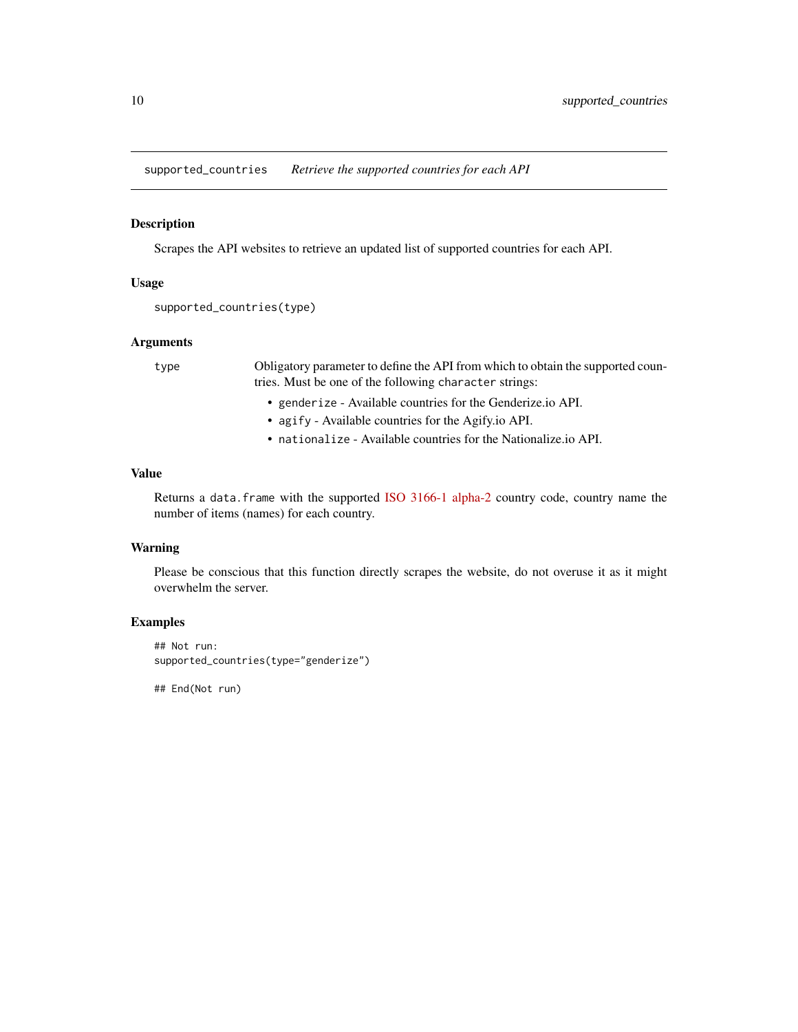<span id="page-9-1"></span><span id="page-9-0"></span>supported\_countries *Retrieve the supported countries for each API*

#### Description

Scrapes the API websites to retrieve an updated list of supported countries for each API.

#### Usage

```
supported_countries(type)
```
#### Arguments

type Obligatory parameter to define the API from which to obtain the supported countries. Must be one of the following character strings:

- genderize Available countries for the Genderize.io API.
- agify Available countries for the Agify.io API.
- nationalize Available countries for the Nationalize.io API.

#### Value

Returns a data.frame with the supported [ISO 3166-1 alpha-2](http://en.wikipedia.org/wiki/ISO_3166-1_alpha-2) country code, country name the number of items (names) for each country.

#### Warning

Please be conscious that this function directly scrapes the website, do not overuse it as it might overwhelm the server.

#### Examples

```
## Not run:
supported_countries(type="genderize")
```
## End(Not run)